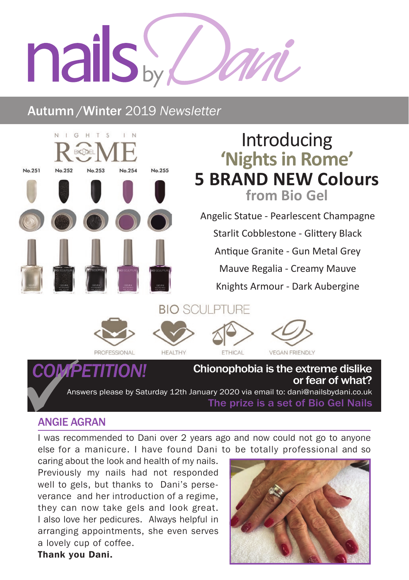# nails by

# Autumn /Winter 2019 *Newsletter*



## ANGIE AGRAN

Thank you Dani.

I was recommended to Dani over 2 years ago and now could not go to anyone else for a manicure. I have found Dani to be totally professional and so

caring about the look and health of my nails. Previously my nails had not responded well to gels, but thanks to Dani's perseverance and her introduction of a regime, they can now take gels and look great. I also love her pedicures. Always helpful in arranging appointments, she even serves a lovely cup of coffee.